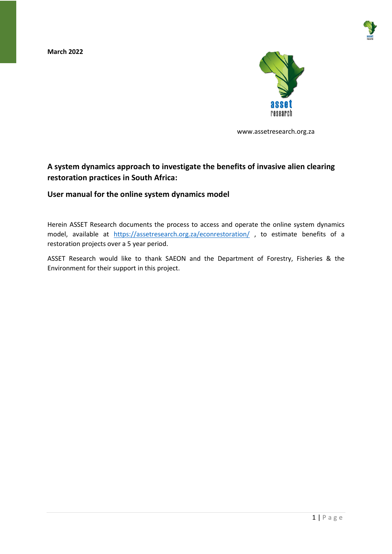**March 2022**





www.assetresearch.org.za

#### **A system dynamics approach to investigate the benefits of invasive alien clearing restoration practices in South Africa:**

#### **User manual for the online system dynamics model**

Herein ASSET Research documents the process to access and operate the online system dynamics model, available at <https://assetresearch.org.za/econrestoration/> , to estimate benefits of a restoration projects over a 5 year period.

ASSET Research would like to thank SAEON and the Department of Forestry, Fisheries & the Environment for their support in this project.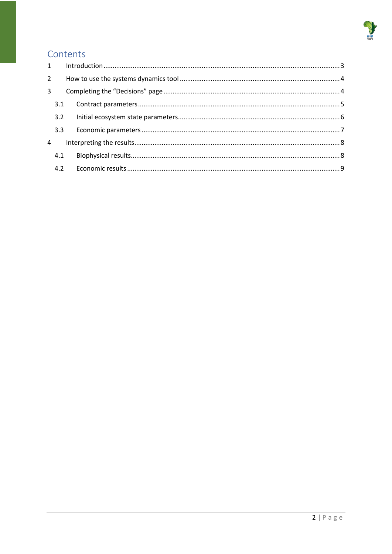

## Contents

| $2^{\circ}$    |     |     |  |  |  |
|----------------|-----|-----|--|--|--|
| $\overline{3}$ |     |     |  |  |  |
|                | 3.1 |     |  |  |  |
|                | 3.2 |     |  |  |  |
|                | 3.3 |     |  |  |  |
| 4              |     |     |  |  |  |
|                | 4.1 |     |  |  |  |
|                |     | 4.2 |  |  |  |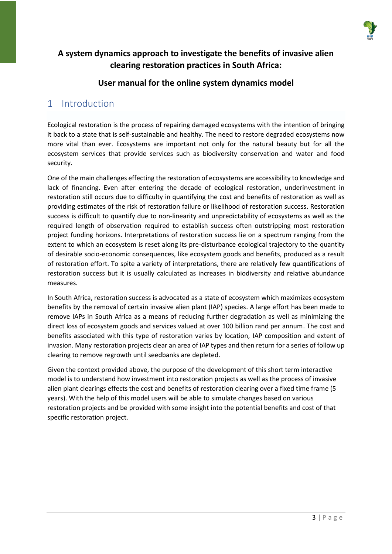

#### **A system dynamics approach to investigate the benefits of invasive alien clearing restoration practices in South Africa:**

#### **User manual for the online system dynamics model**

#### <span id="page-2-0"></span>1 Introduction

Ecological restoration is the process of repairing damaged ecosystems with the intention of bringing it back to a state that is self-sustainable and healthy. The need to restore degraded ecosystems now more vital than ever. Ecosystems are important not only for the natural beauty but for all the ecosystem services that provide services such as biodiversity conservation and water and food security.

One of the main challenges effecting the restoration of ecosystems are accessibility to knowledge and lack of financing. Even after entering the decade of ecological restoration, underinvestment in restoration still occurs due to difficulty in quantifying the cost and benefits of restoration as well as providing estimates of the risk of restoration failure or likelihood of restoration success. Restoration success is difficult to quantify due to non-linearity and unpredictability of ecosystems as well as the required length of observation required to establish success often outstripping most restoration project funding horizons. Interpretations of restoration success lie on a spectrum ranging from the extent to which an ecosystem is reset along its pre-disturbance ecological trajectory to the quantity of desirable socio-economic consequences, like ecosystem goods and benefits, produced as a result of restoration effort. To spite a variety of interpretations, there are relatively few quantifications of restoration success but it is usually calculated as increases in biodiversity and relative abundance measures.

In South Africa, restoration success is advocated as a state of ecosystem which maximizes ecosystem benefits by the removal of certain invasive alien plant (IAP) species. A large effort has been made to remove IAPs in South Africa as a means of reducing further degradation as well as minimizing the direct loss of ecosystem goods and services valued at over 100 billion rand per annum. The cost and benefits associated with this type of restoration varies by location, IAP composition and extent of invasion. Many restoration projects clear an area of IAP types and then return for a series of follow up clearing to remove regrowth until seedbanks are depleted.

Given the context provided above, the purpose of the development of this short term interactive model is to understand how investment into restoration projects as well as the process of invasive alien plant clearings effects the cost and benefits of restoration clearing over a fixed time frame (5 years). With the help of this model users will be able to simulate changes based on various restoration projects and be provided with some insight into the potential benefits and cost of that specific restoration project.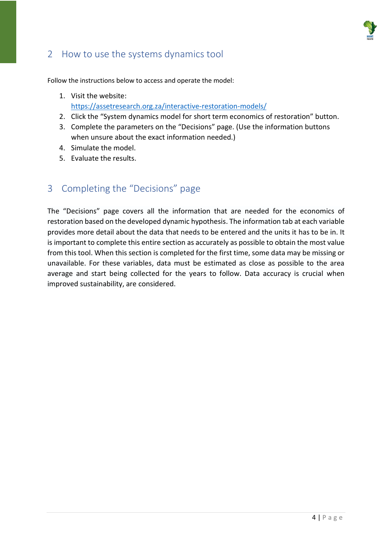

## <span id="page-3-0"></span>2 How to use the systems dynamics tool

Follow the instructions below to access and operate the model:

- 1. Visit the website: <https://assetresearch.org.za/interactive-restoration-models/>
- 2. Click the "System dynamics model for short term economics of restoration" button.
- 3. Complete the parameters on the "Decisions" page. (Use the information buttons when unsure about the exact information needed.)
- 4. Simulate the model.
- 5. Evaluate the results.

## <span id="page-3-1"></span>3 Completing the "Decisions" page

The "Decisions" page covers all the information that are needed for the economics of restoration based on the developed dynamic hypothesis. The information tab at each variable provides more detail about the data that needs to be entered and the units it has to be in. It is important to complete this entire section as accurately as possible to obtain the most value from this tool. When this section is completed for the first time, some data may be missing or unavailable. For these variables, data must be estimated as close as possible to the area average and start being collected for the years to follow. Data accuracy is crucial when improved sustainability, are considered.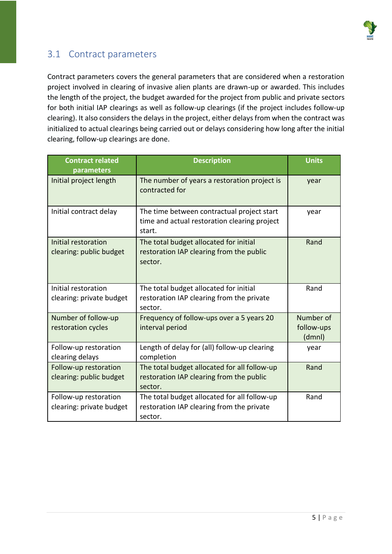

# <span id="page-4-0"></span>3.1 Contract parameters

Contract parameters covers the general parameters that are considered when a restoration project involved in clearing of invasive alien plants are drawn-up or awarded. This includes the length of the project, the budget awarded for the project from public and private sectors for both initial IAP clearings as well as follow-up clearings (if the project includes follow-up clearing). It also considers the delays in the project, either delays from when the contract was initialized to actual clearings being carried out or delays considering how long after the initial clearing, follow-up clearings are done.

| <b>Contract related</b><br>parameters             | <b>Description</b>                                                                                   | <b>Units</b>                      |
|---------------------------------------------------|------------------------------------------------------------------------------------------------------|-----------------------------------|
| Initial project length                            | The number of years a restoration project is<br>contracted for                                       | year                              |
| Initial contract delay                            | The time between contractual project start<br>time and actual restoration clearing project<br>start. | year                              |
| Initial restoration<br>clearing: public budget    | The total budget allocated for initial<br>restoration IAP clearing from the public<br>sector.        | Rand                              |
| Initial restoration<br>clearing: private budget   | The total budget allocated for initial<br>restoration IAP clearing from the private<br>sector.       | Rand                              |
| Number of follow-up<br>restoration cycles         | Frequency of follow-ups over a 5 years 20<br>interval period                                         | Number of<br>follow-ups<br>(dmnl) |
| Follow-up restoration<br>clearing delays          | Length of delay for (all) follow-up clearing<br>completion                                           | year                              |
| Follow-up restoration<br>clearing: public budget  | The total budget allocated for all follow-up<br>restoration IAP clearing from the public<br>sector.  | Rand                              |
| Follow-up restoration<br>clearing: private budget | The total budget allocated for all follow-up<br>restoration IAP clearing from the private<br>sector. | Rand                              |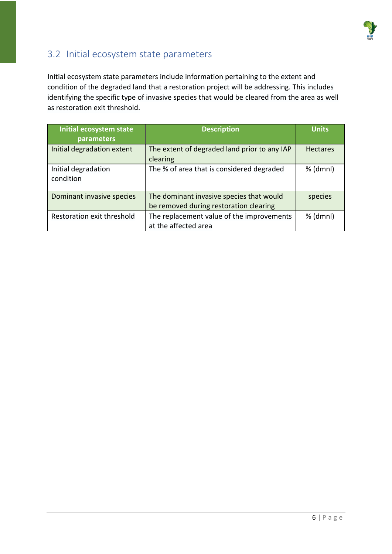

# <span id="page-5-0"></span>3.2 Initial ecosystem state parameters

Initial ecosystem state parameters include information pertaining to the extent and condition of the degraded land that a restoration project will be addressing. This includes identifying the specific type of invasive species that would be cleared from the area as well as restoration exit threshold.

| Initial ecosystem state<br>parameters | <b>Description</b>                                                                 | <b>Units</b>    |
|---------------------------------------|------------------------------------------------------------------------------------|-----------------|
| Initial degradation extent            | The extent of degraded land prior to any IAP<br>clearing                           | <b>Hectares</b> |
| Initial degradation<br>condition      | The % of area that is considered degraded                                          | % (dmnl)        |
| Dominant invasive species             | The dominant invasive species that would<br>be removed during restoration clearing | species         |
| Restoration exit threshold            | The replacement value of the improvements<br>at the affected area                  | % (dmnl)        |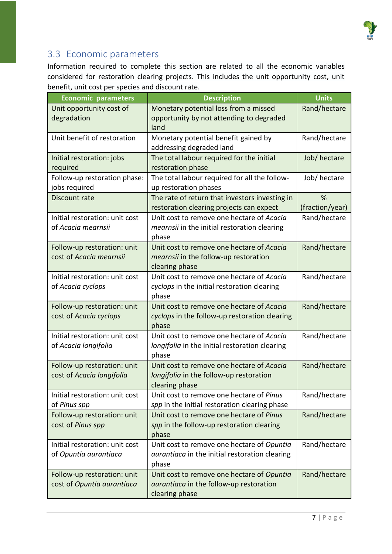

### <span id="page-6-0"></span>3.3 Economic parameters

Information required to complete this section are related to all the economic variables considered for restoration clearing projects. This includes the unit opportunity cost, unit benefit, unit cost per species and discount rate.

| <b>Economic parameters</b>     | <b>Description</b>                             | <b>Units</b>    |
|--------------------------------|------------------------------------------------|-----------------|
| Unit opportunity cost of       | Monetary potential loss from a missed          | Rand/hectare    |
| degradation                    | opportunity by not attending to degraded       |                 |
|                                | land                                           |                 |
| Unit benefit of restoration    | Monetary potential benefit gained by           | Rand/hectare    |
|                                | addressing degraded land                       |                 |
| Initial restoration: jobs      | The total labour required for the initial      | Job/hectare     |
| required                       | restoration phase                              |                 |
| Follow-up restoration phase:   | The total labour required for all the follow-  | Job/hectare     |
| jobs required                  | up restoration phases                          |                 |
| Discount rate                  | The rate of return that investors investing in | %               |
|                                | restoration clearing projects can expect       | (fraction/year) |
| Initial restoration: unit cost | Unit cost to remove one hectare of Acacia      | Rand/hectare    |
| of Acacia mearnsii             | mearnsii in the initial restoration clearing   |                 |
|                                | phase                                          |                 |
| Follow-up restoration: unit    | Unit cost to remove one hectare of Acacia      | Rand/hectare    |
| cost of Acacia mearnsii        | mearnsii in the follow-up restoration          |                 |
|                                | clearing phase                                 |                 |
| Initial restoration: unit cost | Unit cost to remove one hectare of Acacia      | Rand/hectare    |
| of Acacia cyclops              | cyclops in the initial restoration clearing    |                 |
|                                | phase                                          |                 |
| Follow-up restoration: unit    | Unit cost to remove one hectare of Acacia      | Rand/hectare    |
| cost of Acacia cyclops         | cyclops in the follow-up restoration clearing  |                 |
|                                | phase                                          |                 |
| Initial restoration: unit cost | Unit cost to remove one hectare of Acacia      | Rand/hectare    |
| of Acacia longifolia           | longifolia in the initial restoration clearing |                 |
|                                | phase                                          |                 |
| Follow-up restoration: unit    | Unit cost to remove one hectare of Acacia      | Rand/hectare    |
| cost of Acacia longifolia      | longifolia in the follow-up restoration        |                 |
|                                | clearing phase                                 |                 |
| Initial restoration: unit cost | Unit cost to remove one hectare of Pinus       | Rand/hectare    |
| of Pinus spp                   | spp in the initial restoration clearing phase  |                 |
| Follow-up restoration: unit    | Unit cost to remove one hectare of Pinus       | Rand/hectare    |
| cost of Pinus spp              | spp in the follow-up restoration clearing      |                 |
|                                | phase                                          |                 |
| Initial restoration: unit cost | Unit cost to remove one hectare of Opuntia     | Rand/hectare    |
| of Opuntia aurantiaca          | aurantiaca in the initial restoration clearing |                 |
|                                | phase                                          |                 |
| Follow-up restoration: unit    | Unit cost to remove one hectare of Opuntia     | Rand/hectare    |
| cost of Opuntia aurantiaca     | aurantiaca in the follow-up restoration        |                 |
|                                | clearing phase                                 |                 |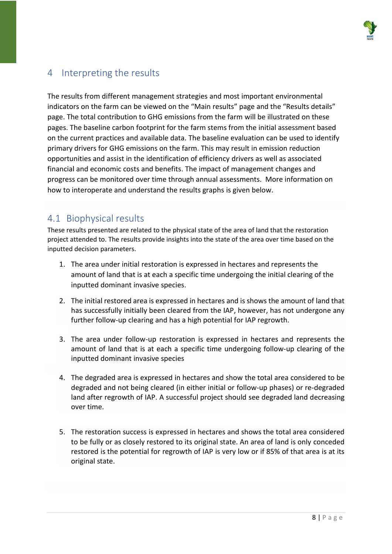

# <span id="page-7-0"></span>4 Interpreting the results

The results from different management strategies and most important environmental indicators on the farm can be viewed on the "Main results" page and the "Results details" page. The total contribution to GHG emissions from the farm will be illustrated on these pages. The baseline carbon footprint for the farm stems from the initial assessment based on the current practices and available data. The baseline evaluation can be used to identify primary drivers for GHG emissions on the farm. This may result in emission reduction opportunities and assist in the identification of efficiency drivers as well as associated financial and economic costs and benefits. The impact of management changes and progress can be monitored over time through annual assessments. More information on how to interoperate and understand the results graphs is given below.

### <span id="page-7-1"></span>4.1 Biophysical results

These results presented are related to the physical state of the area of land that the restoration project attended to. The results provide insights into the state of the area over time based on the inputted decision parameters.

- 1. The area under initial restoration is expressed in hectares and represents the amount of land that is at each a specific time undergoing the initial clearing of the inputted dominant invasive species.
- 2. The initial restored area is expressed in hectares and is shows the amount of land that has successfully initially been cleared from the IAP, however, has not undergone any further follow-up clearing and has a high potential for IAP regrowth.
- 3. The area under follow-up restoration is expressed in hectares and represents the amount of land that is at each a specific time undergoing follow-up clearing of the inputted dominant invasive species
- 4. The degraded area is expressed in hectares and show the total area considered to be degraded and not being cleared (in either initial or follow-up phases) or re-degraded land after regrowth of IAP. A successful project should see degraded land decreasing over time.
- 5. The restoration success is expressed in hectares and shows the total area considered to be fully or as closely restored to its original state. An area of land is only conceded restored is the potential for regrowth of IAP is very low or if 85% of that area is at its original state.